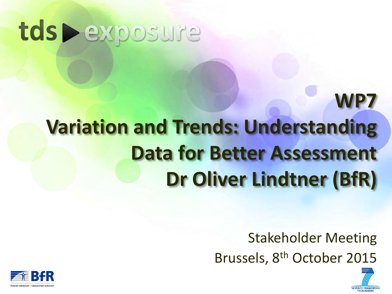# tds > exposure

# **WP7 Variation and Trends: Understanding Data for Better Assessment Dr Oliver Lindtner (BfR)**

Stakeholder Meeting Brussels, 8th October 2015

**SEVENTH FRAMEWOL** 

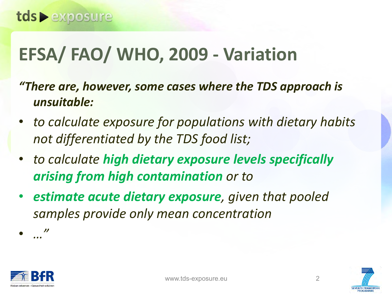## **EFSA/ FAO/ WHO, 2009 - Variation**

- *"There are, however, some cases where the TDS approach is unsuitable:*
- *to calculate exposure for populations with dietary habits not differentiated by the TDS food list;*
- *to calculate high dietary exposure levels specifically arising from high contamination or to*
- *estimate acute dietary exposure, given that pooled samples provide only mean concentration*



• *…"*

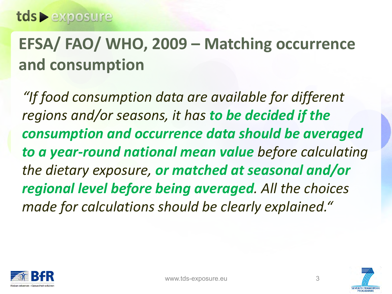### **EFSA/ FAO/ WHO, 2009 – Matching occurrence and consumption**

*"If food consumption data are available for different regions and/or seasons, it has to be decided if the consumption and occurrence data should be averaged to a year-round national mean value before calculating the dietary exposure, or matched at seasonal and/or regional level before being averaged. All the choices made for calculations should be clearly explained."*



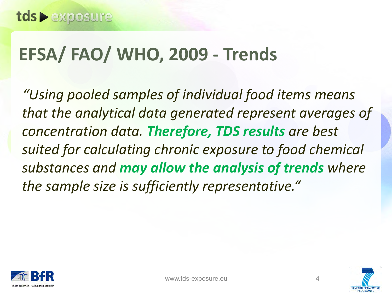### **EFSA/ FAO/ WHO, 2009 - Trends**

*"Using pooled samples of individual food items means that the analytical data generated represent averages of concentration data. Therefore, TDS results are best suited for calculating chronic exposure to food chemical substances and may allow the analysis of trends where the sample size is sufficiently representative."*



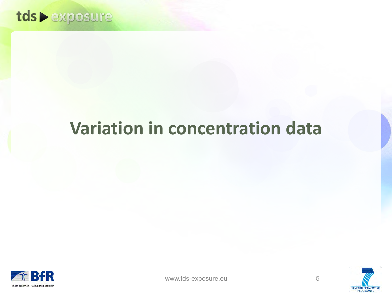

### **Variation in concentration data**







**SEVENTH FRAMEWORK** PROGRAMMI

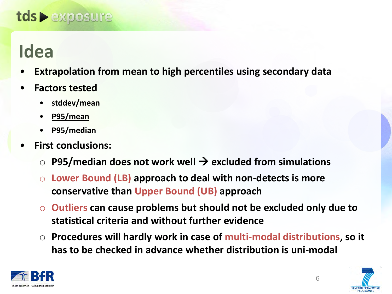### tds • exposure

### **Idea**

- **Extrapolation from mean to high percentiles using secondary data**
- **Factors tested** 
	- **stddev/mean**
	- **P95/mean**
	- **P95/median**
- **First conclusions:** 
	- P95/median does not work well → excluded from simulations
	- Lower Bound (LB) approach to deal with non-detects is more **conservative than Upper Bound (UB) approach**
	- o **Outliers can cause problems but should not be excluded only due to statistical criteria and without further evidence**
	- o **Procedures will hardly work in case of multi-modal distributions, so it has to be checked in advance whether distribution is uni-modal**

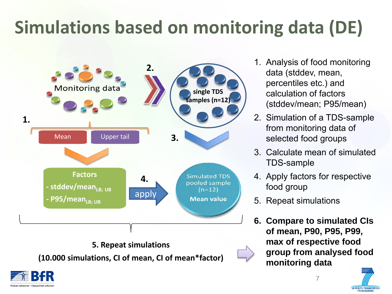## **Simulations based on monitoring data (DE)**



- 1. Analysis of food monitoring data (stddev, mean, percentiles etc.) and calculation of factors (stddev/mean; P95/mean)
- 2. Simulation of a TDS-sample from monitoring data of selected food groups
- 3. Calculate mean of simulated TDS-sample
- 4. Apply factors for respective food group
- 5. Repeat simulations
- **6. Compare to simulated CIs of mean, P90, P95, P99, max of respective food group from analysed food monitoring data**



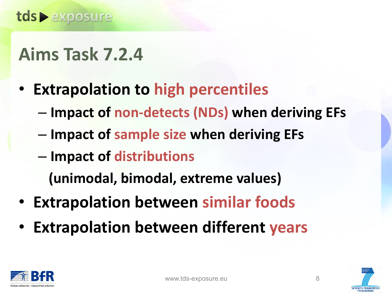## **Aims Task 7.2.4**

- **Extrapolation to high percentiles** 
	- **Impact of non-detects (NDs) when deriving EFs**
	- **Impact of sample size when deriving EFs**
	- **Impact of distributions**

 **(unimodal, bimodal, extreme values)** 

- **Extrapolation between similar foods**
- **Extrapolation between different years**



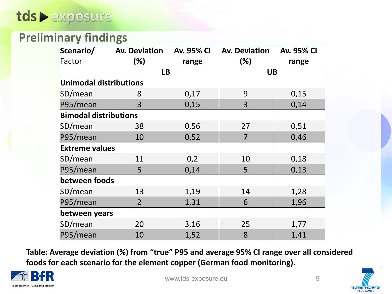### **Preliminary findings**

| Scenario/                     | <b>Av. Deviation</b> | <b>Av. 95% CI</b> | <b>Av. Deviation</b> | <b>Av. 95% CI</b> |  |  |
|-------------------------------|----------------------|-------------------|----------------------|-------------------|--|--|
| Factor                        | (%)                  | range             | (%)                  | range             |  |  |
|                               |                      | <b>LB</b>         |                      | <b>UB</b>         |  |  |
| <b>Unimodal distributions</b> |                      |                   |                      |                   |  |  |
| SD/mean                       | 8                    | 0,17              | 9                    | 0,15              |  |  |
| P95/mean                      | 3                    | 0,15              | 3                    | 0,14              |  |  |
| <b>Bimodal distributions</b>  |                      |                   |                      |                   |  |  |
| SD/mean                       | 38                   | 0,56              | 27                   | 0,51              |  |  |
| P95/mean                      | 10                   | 0,52              | 7                    | 0,46              |  |  |
| <b>Extreme values</b>         |                      |                   |                      |                   |  |  |
| SD/mean                       | 11                   | 0,2               | 10                   | 0,18              |  |  |
| P95/mean                      | 5                    | 0,14              | 5                    | 0,13              |  |  |
| between foods                 |                      |                   |                      |                   |  |  |
| SD/mean                       | 13                   | 1,19              | 14                   | 1,28              |  |  |
| P95/mean                      | $\overline{2}$       | 1,31              | 6                    | 1,96              |  |  |
| between years                 |                      |                   |                      |                   |  |  |
| SD/mean                       | 20                   | 3,16              | 25                   | 1,77              |  |  |
| P95/mean                      | 10                   | 1,52              | 8                    | 1,41              |  |  |

**Table: Average deviation (%) from "true" P95 and average 95% CI range over all considered foods for each scenario for the element copper (German food monitoring).** 





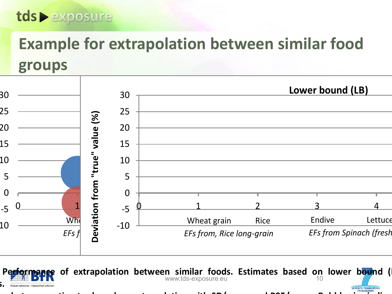### tds • exposure

### **Example for extrapolation between similar food groups**



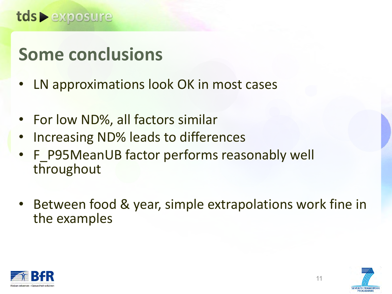

### **Some conclusions**

- LN approximations look OK in most cases
- For low ND%, all factors similar
- Increasing ND% leads to differences
- F\_P95MeanUB factor performs reasonably well throughout
- Between food & year, simple extrapolations work fine in the examples

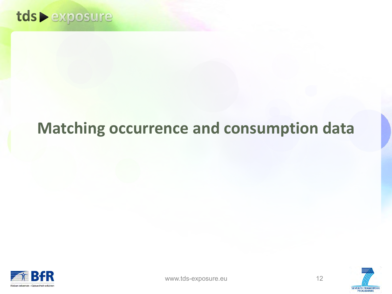

### **Matching occurrence and consumption data**





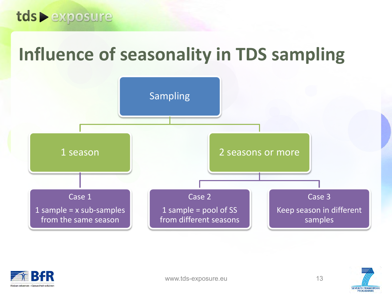

### **Influence of seasonality in TDS sampling**





www.tds-exposure.eu 13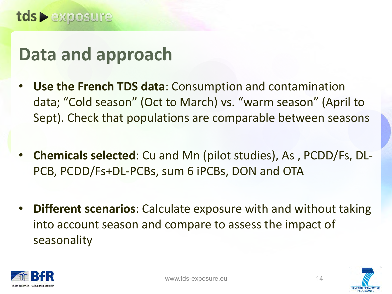### **Data and approach**

- **Use the French TDS data**: Consumption and contamination data; "Cold season" (Oct to March) vs. "warm season" (April to Sept). Check that populations are comparable between seasons
- **Chemicals selected**: Cu and Mn (pilot studies), As , PCDD/Fs, DL-PCB, PCDD/Fs+DL-PCBs, sum 6 iPCBs, DON and OTA
- **Different scenarios**: Calculate exposure with and without taking into account season and compare to assess the impact of seasonality



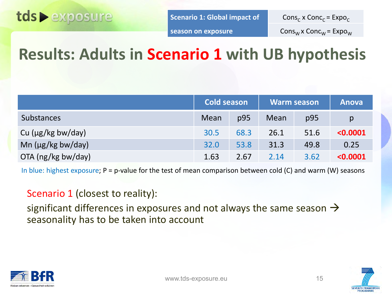

**Scenario 1: Global impact of** 

Cons<sub>c</sub> x Conc<sub>c</sub> = Expo<sub>c</sub>

**season on exposure**

 $Cons_{W}x$  Conc<sub>W</sub> = Expo<sub>W</sub>

### **Results: Adults in Scenario 1 with UB hypothesis**

|                        | <b>Cold season</b> |      |      | <b>Warm season</b> | <b>Anova</b> |
|------------------------|--------------------|------|------|--------------------|--------------|
| Substances             | Mean               | p95  | Mean | p95                | p            |
| Cu $(\mu g/kg$ bw/day) | 30.5               | 68.3 | 26.1 | 51.6               | < 0.0001     |
| Mn $(\mu g/kg$ bw/day) | 32.0               | 53.8 | 31.3 | 49.8               | 0.25         |
| OTA (ng/kg bw/day)     | 1.63               | 2.67 | 2.14 | 3.62               | < 0.0001     |

In blue: highest exposure; P = p-value for the test of mean comparison between cold (C) and warm (W) seasons

#### Scenario 1 (closest to reality):

significant differences in exposures and not always the same season  $\rightarrow$ seasonality has to be taken into account



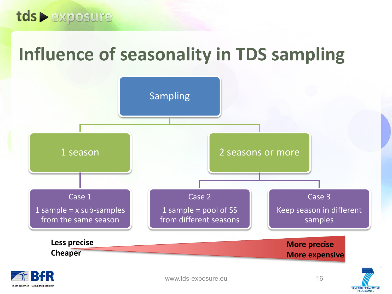

### **Influence of seasonality in TDS sampling**



Risiken erkennen – Gesundheit schützi

**SEVENTH FRAMEWORK**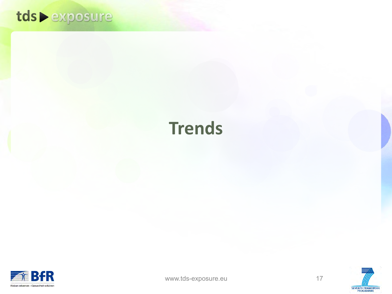

### **Trends**





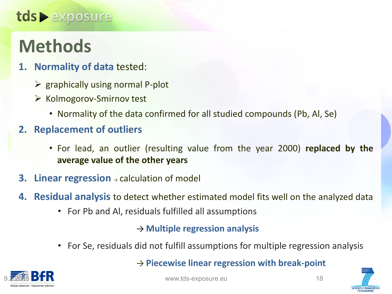### tds • exposure

## **Methods**

- **1. Normality of data** tested:
	- $\triangleright$  graphically using normal P-plot
	- $\triangleright$  Kolmogorov-Smirnov test
		- Normality of the data confirmed for all studied compounds (Pb, Al, Se)

#### **2. Replacement of outliers**

- For lead, an outlier (resulting value from the year 2000) **replaced by the average value of the other years**
- **3. Linear regression** → calculation of model
- **4. Residual analysis** to detect whether estimated model fits well on the analyzed data
	- For Pb and Al, residuals fulfilled all assumptions

#### → **Multiple regression analysis**

• For Se, residuals did not fulfill assumptions for multiple regression analysis

#### → **Piecewise linear regression with break-point**





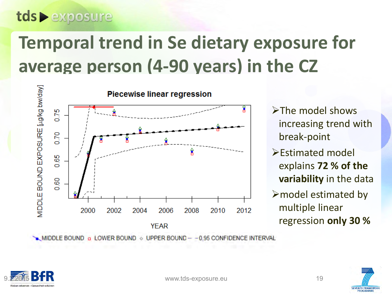## **Temporal trend in Se dietary exposure for average person (4-90 years) in the CZ**



- $\blacktriangleright$ The model shows increasing trend with break-point
- Estimated model explains **72 % of the variability** in the data
- $\triangleright$  model estimated by multiple linear regression **only 30 %**

![](_page_18_Picture_6.jpeg)

![](_page_18_Picture_7.jpeg)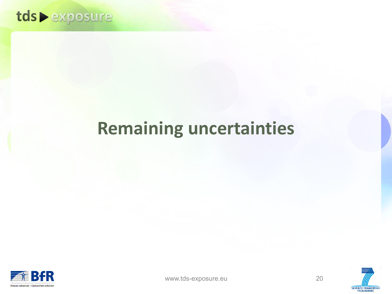![](_page_19_Picture_0.jpeg)

### **Remaining uncertainties**

![](_page_19_Picture_2.jpeg)

![](_page_19_Picture_3.jpeg)

![](_page_19_Picture_4.jpeg)

![](_page_19_Picture_5.jpeg)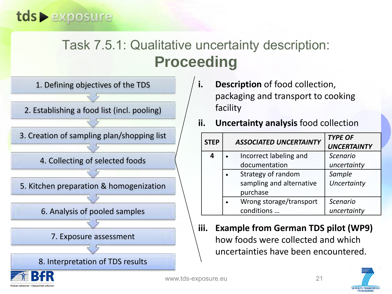### Task 7.5.1: Qualitative uncertainty description: **Proceeding**

![](_page_20_Figure_2.jpeg)

- packaging and transport to cooking facility
- **ii. Uncertainty analysis** food collection

| <b>STEP</b> | <b>ASSOCIATED UNCERTAINTY</b> | <b>TYPE OF</b><br><b>UNCERTAINTY</b> |
|-------------|-------------------------------|--------------------------------------|
| Δ           | Incorrect labeling and        | <b>Scenario</b>                      |
|             | documentation                 | uncertainty                          |
|             | Strategy of random            | Sample                               |
|             | sampling and alternative      | Uncertainty                          |
|             | purchase                      |                                      |
|             | Wrong storage/transport       | <b>Scenario</b>                      |
|             | conditions                    | uncertainty                          |

**iii. Example from German TDS pilot (WP9)**  how foods were collected and which uncertainties have been encountered.

21

![](_page_20_Picture_7.jpeg)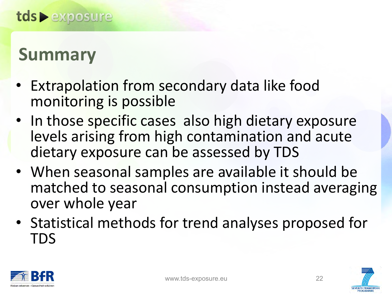### **Summary**

- Extrapolation from secondary data like food monitoring is possible
- In those specific cases also high dietary exposure levels arising from high contamination and acute dietary exposure can be assessed by TDS
- When seasonal samples are available it should be matched to seasonal consumption instead averaging over whole year
- Statistical methods for trend analyses proposed for TDS

![](_page_21_Picture_6.jpeg)

![](_page_21_Picture_9.jpeg)